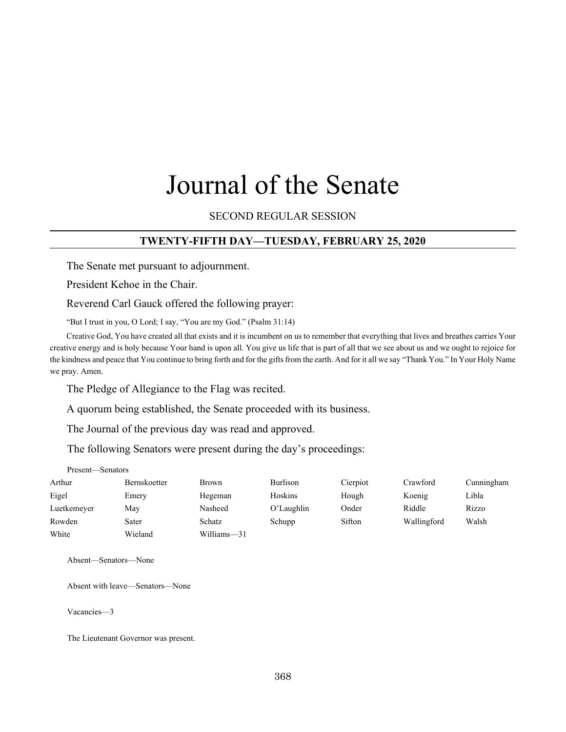# Journal of the Senate

# SECOND REGULAR SESSION

## **TWENTY-FIFTH DAY—TUESDAY, FEBRUARY 25, 2020**

The Senate met pursuant to adjournment.

President Kehoe in the Chair.

Reverend Carl Gauck offered the following prayer:

"But I trust in you, O Lord; I say, "You are my God." (Psalm 31:14)

Creative God, You have created all that exists and it is incumbent on us to remember that everything that lives and breathes carries Your creative energy and is holy because Your hand is upon all. You give us life that is part of all that we see about us and we ought to rejoice for the kindness and peace that You continue to bring forth and for the gifts from the earth. And for it all we say "Thank You." In Your Holy Name we pray. Amen.

The Pledge of Allegiance to the Flag was recited.

A quorum being established, the Senate proceeded with its business.

The Journal of the previous day was read and approved.

The following Senators were present during the day's proceedings:

| Present—Senators |                     |              |            |          |             |            |
|------------------|---------------------|--------------|------------|----------|-------------|------------|
| Arthur           | <b>Bernskoetter</b> | <b>Brown</b> | Burlison   | Cierpiot | Crawford    | Cunningham |
| Eigel            | Emery               | Hegeman      | Hoskins    | Hough    | Koenig      | Libla      |
| Luetkemeyer      | May                 | Nasheed      | O'Laughlin | Onder    | Riddle      | Rizzo      |
| Rowden           | Sater               | Schatz       | Schupp     | Sifton   | Wallingford | Walsh      |
| White            | Wieland             | Williams-31  |            |          |             |            |

Absent—Senators—None

Absent with leave—Senators—None

Vacancies—3

The Lieutenant Governor was present.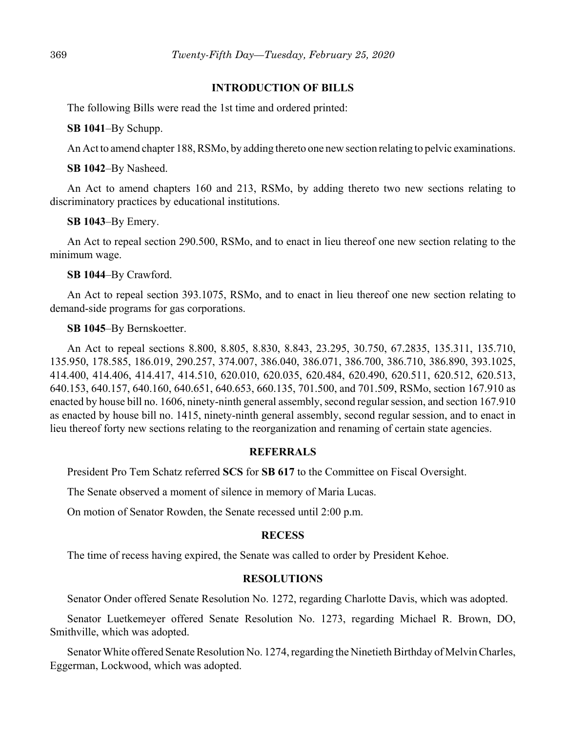## **INTRODUCTION OF BILLS**

The following Bills were read the 1st time and ordered printed:

**SB 1041**–By Schupp.

An Act to amend chapter 188, RSMo, by adding thereto one new section relating to pelvic examinations.

**SB 1042**–By Nasheed.

An Act to amend chapters 160 and 213, RSMo, by adding thereto two new sections relating to discriminatory practices by educational institutions.

#### **SB 1043**–By Emery.

An Act to repeal section 290.500, RSMo, and to enact in lieu thereof one new section relating to the minimum wage.

#### **SB 1044**–By Crawford.

An Act to repeal section 393.1075, RSMo, and to enact in lieu thereof one new section relating to demand-side programs for gas corporations.

#### **SB 1045**–By Bernskoetter.

An Act to repeal sections 8.800, 8.805, 8.830, 8.843, 23.295, 30.750, 67.2835, 135.311, 135.710, 135.950, 178.585, 186.019, 290.257, 374.007, 386.040, 386.071, 386.700, 386.710, 386.890, 393.1025, 414.400, 414.406, 414.417, 414.510, 620.010, 620.035, 620.484, 620.490, 620.511, 620.512, 620.513, 640.153, 640.157, 640.160, 640.651, 640.653, 660.135, 701.500, and 701.509, RSMo, section 167.910 as enacted by house bill no. 1606, ninety-ninth general assembly, second regular session, and section 167.910 as enacted by house bill no. 1415, ninety-ninth general assembly, second regular session, and to enact in lieu thereof forty new sections relating to the reorganization and renaming of certain state agencies.

## **REFERRALS**

President Pro Tem Schatz referred **SCS** for **SB 617** to the Committee on Fiscal Oversight.

The Senate observed a moment of silence in memory of Maria Lucas.

On motion of Senator Rowden, the Senate recessed until 2:00 p.m.

#### **RECESS**

The time of recess having expired, the Senate was called to order by President Kehoe.

#### **RESOLUTIONS**

Senator Onder offered Senate Resolution No. 1272, regarding Charlotte Davis, which was adopted.

Senator Luetkemeyer offered Senate Resolution No. 1273, regarding Michael R. Brown, DO, Smithville, which was adopted.

Senator White offered Senate Resolution No. 1274, regarding the Ninetieth Birthday of Melvin Charles, Eggerman, Lockwood, which was adopted.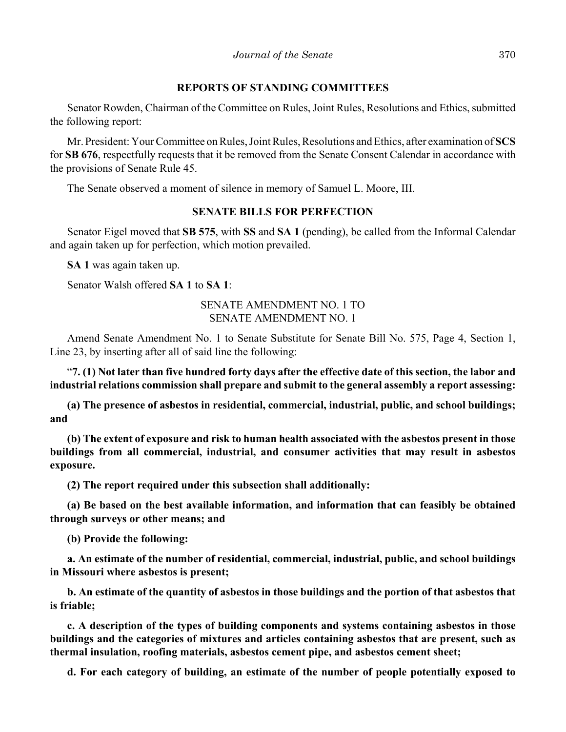## **REPORTS OF STANDING COMMITTEES**

Senator Rowden, Chairman of the Committee on Rules, Joint Rules, Resolutions and Ethics, submitted the following report:

Mr. President: Your Committee on Rules, Joint Rules, Resolutions and Ethics, after examination of **SCS** for **SB 676**, respectfully requests that it be removed from the Senate Consent Calendar in accordance with the provisions of Senate Rule 45.

The Senate observed a moment of silence in memory of Samuel L. Moore, III.

# **SENATE BILLS FOR PERFECTION**

Senator Eigel moved that **SB 575**, with **SS** and **SA 1** (pending), be called from the Informal Calendar and again taken up for perfection, which motion prevailed.

**SA 1** was again taken up.

Senator Walsh offered **SA 1** to **SA 1**:

# SENATE AMENDMENT NO. 1 TO SENATE AMENDMENT NO. 1

Amend Senate Amendment No. 1 to Senate Substitute for Senate Bill No. 575, Page 4, Section 1, Line 23, by inserting after all of said line the following:

"**7. (1) Not later than five hundred forty days after the effective date of this section, the labor and industrial relations commission shall prepare and submit to the general assembly a report assessing:**

**(a) The presence of asbestos in residential, commercial, industrial, public, and school buildings; and**

**(b) The extent of exposure and risk to human health associated with the asbestos present in those buildings from all commercial, industrial, and consumer activities that may result in asbestos exposure.**

**(2) The report required under this subsection shall additionally:**

**(a) Be based on the best available information, and information that can feasibly be obtained through surveys or other means; and**

**(b) Provide the following:**

**a. An estimate of the number of residential, commercial, industrial, public, and school buildings in Missouri where asbestos is present;**

**b. An estimate of the quantity of asbestos in those buildings and the portion of that asbestos that is friable;**

**c. A description of the types of building components and systems containing asbestos in those buildings and the categories of mixtures and articles containing asbestos that are present, such as thermal insulation, roofing materials, asbestos cement pipe, and asbestos cement sheet;**

**d. For each category of building, an estimate of the number of people potentially exposed to**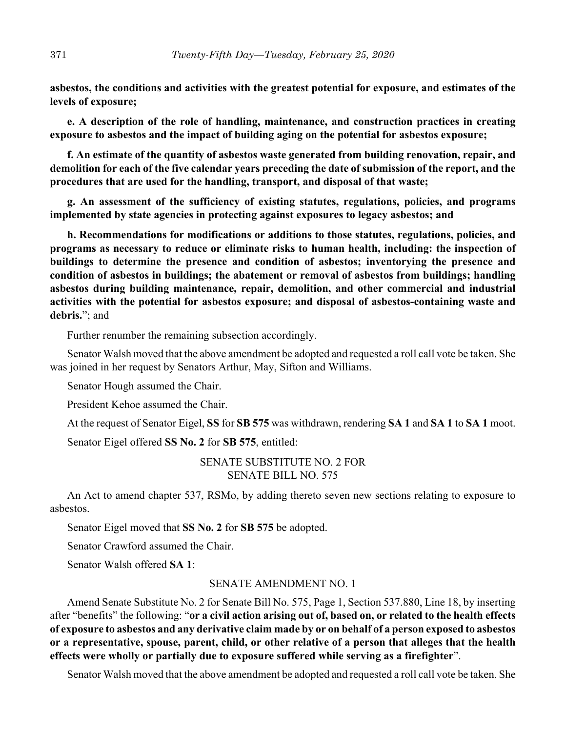**asbestos, the conditions and activities with the greatest potential for exposure, and estimates of the levels of exposure;**

**e. A description of the role of handling, maintenance, and construction practices in creating exposure to asbestos and the impact of building aging on the potential for asbestos exposure;**

**f. An estimate of the quantity of asbestos waste generated from building renovation, repair, and demolition for each of the five calendar years preceding the date of submission of the report, and the procedures that are used for the handling, transport, and disposal of that waste;**

**g. An assessment of the sufficiency of existing statutes, regulations, policies, and programs implemented by state agencies in protecting against exposures to legacy asbestos; and**

**h. Recommendations for modifications or additions to those statutes, regulations, policies, and programs as necessary to reduce or eliminate risks to human health, including: the inspection of buildings to determine the presence and condition of asbestos; inventorying the presence and condition of asbestos in buildings; the abatement or removal of asbestos from buildings; handling asbestos during building maintenance, repair, demolition, and other commercial and industrial activities with the potential for asbestos exposure; and disposal of asbestos-containing waste and debris.**"; and

Further renumber the remaining subsection accordingly.

Senator Walsh moved that the above amendment be adopted and requested a roll call vote be taken. She was joined in her request by Senators Arthur, May, Sifton and Williams.

Senator Hough assumed the Chair.

President Kehoe assumed the Chair.

At the request of Senator Eigel, **SS** for **SB 575** was withdrawn, rendering **SA 1** and **SA 1** to **SA 1** moot.

Senator Eigel offered **SS No. 2** for **SB 575**, entitled:

SENATE SUBSTITUTE NO. 2 FOR SENATE BILL NO. 575

An Act to amend chapter 537, RSMo, by adding thereto seven new sections relating to exposure to asbestos.

Senator Eigel moved that **SS No. 2** for **SB 575** be adopted.

Senator Crawford assumed the Chair.

Senator Walsh offered **SA 1**:

#### SENATE AMENDMENT NO. 1

Amend Senate Substitute No. 2 for Senate Bill No. 575, Page 1, Section 537.880, Line 18, by inserting after "benefits" the following: "**or a civil action arising out of, based on, or related to the health effects of exposure to asbestos and any derivative claim made by or on behalf of a person exposed to asbestos or a representative, spouse, parent, child, or other relative of a person that alleges that the health effects were wholly or partially due to exposure suffered while serving as a firefighter**".

Senator Walsh moved that the above amendment be adopted and requested a roll call vote be taken. She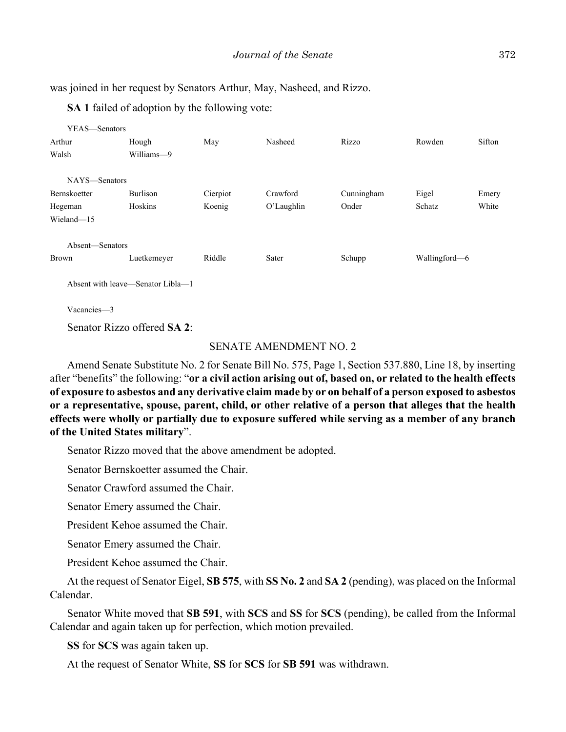was joined in her request by Senators Arthur, May, Nasheed, and Rizzo.

**SA 1** failed of adoption by the following vote:

| YEAS—Senators       |                                   |          |            |            |               |        |
|---------------------|-----------------------------------|----------|------------|------------|---------------|--------|
| Arthur              | Hough                             | May      | Nasheed    | Rizzo      | Rowden        | Sifton |
| Walsh               | Williams-9                        |          |            |            |               |        |
| NAYS-Senators       |                                   |          |            |            |               |        |
| <b>Bernskoetter</b> | Burlison                          | Cierpiot | Crawford   | Cunningham | Eigel         | Emery  |
| Hegeman             | Hoskins                           | Koenig   | O'Laughlin | Onder      | Schatz        | White  |
| Wieland-15          |                                   |          |            |            |               |        |
| Absent—Senators     |                                   |          |            |            |               |        |
| <b>Brown</b>        | Luetkemeyer                       | Riddle   | Sater      | Schupp     | Wallingford-6 |        |
|                     | Absent with leave—Senator Libla—1 |          |            |            |               |        |

Vacancies—3

Senator Rizzo offered **SA 2**:

## SENATE AMENDMENT NO. 2

Amend Senate Substitute No. 2 for Senate Bill No. 575, Page 1, Section 537.880, Line 18, by inserting after "benefits" the following: "**or a civil action arising out of, based on, or related to the health effects of exposure to asbestos and any derivative claim made by or on behalf of a person exposed to asbestos or a representative, spouse, parent, child, or other relative of a person that alleges that the health effects were wholly or partially due to exposure suffered while serving as a member of any branch of the United States military**".

Senator Rizzo moved that the above amendment be adopted.

Senator Bernskoetter assumed the Chair.

Senator Crawford assumed the Chair.

Senator Emery assumed the Chair.

President Kehoe assumed the Chair.

Senator Emery assumed the Chair.

President Kehoe assumed the Chair.

At the request of Senator Eigel, **SB 575**, with **SS No. 2** and **SA 2** (pending), was placed on the Informal Calendar.

Senator White moved that **SB 591**, with **SCS** and **SS** for **SCS** (pending), be called from the Informal Calendar and again taken up for perfection, which motion prevailed.

**SS** for **SCS** was again taken up.

At the request of Senator White, **SS** for **SCS** for **SB 591** was withdrawn.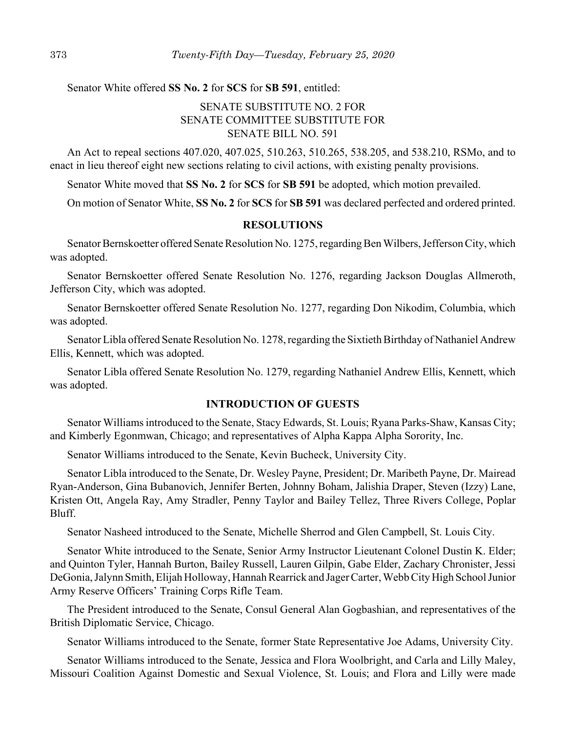Senator White offered **SS No. 2** for **SCS** for **SB 591**, entitled:

# SENATE SUBSTITUTE NO. 2 FOR SENATE COMMITTEE SUBSTITUTE FOR SENATE BILL NO. 591

An Act to repeal sections 407.020, 407.025, 510.263, 510.265, 538.205, and 538.210, RSMo, and to enact in lieu thereof eight new sections relating to civil actions, with existing penalty provisions.

Senator White moved that **SS No. 2** for **SCS** for **SB 591** be adopted, which motion prevailed.

On motion of Senator White, **SS No. 2** for **SCS** for **SB 591** was declared perfected and ordered printed.

#### **RESOLUTIONS**

Senator Bernskoetter offered Senate Resolution No. 1275, regarding Ben Wilbers, Jefferson City, which was adopted.

Senator Bernskoetter offered Senate Resolution No. 1276, regarding Jackson Douglas Allmeroth, Jefferson City, which was adopted.

Senator Bernskoetter offered Senate Resolution No. 1277, regarding Don Nikodim, Columbia, which was adopted.

Senator Libla offered Senate Resolution No. 1278, regarding the Sixtieth Birthday of Nathaniel Andrew Ellis, Kennett, which was adopted.

Senator Libla offered Senate Resolution No. 1279, regarding Nathaniel Andrew Ellis, Kennett, which was adopted.

## **INTRODUCTION OF GUESTS**

Senator Williams introduced to the Senate, Stacy Edwards, St. Louis; Ryana Parks-Shaw, Kansas City; and Kimberly Egonmwan, Chicago; and representatives of Alpha Kappa Alpha Sorority, Inc.

Senator Williams introduced to the Senate, Kevin Bucheck, University City.

Senator Libla introduced to the Senate, Dr. Wesley Payne, President; Dr. Maribeth Payne, Dr. Mairead Ryan-Anderson, Gina Bubanovich, Jennifer Berten, Johnny Boham, Jalishia Draper, Steven (Izzy) Lane, Kristen Ott, Angela Ray, Amy Stradler, Penny Taylor and Bailey Tellez, Three Rivers College, Poplar Bluff.

Senator Nasheed introduced to the Senate, Michelle Sherrod and Glen Campbell, St. Louis City.

Senator White introduced to the Senate, Senior Army Instructor Lieutenant Colonel Dustin K. Elder; and Quinton Tyler, Hannah Burton, Bailey Russell, Lauren Gilpin, Gabe Elder, Zachary Chronister, Jessi DeGonia, Jalynn Smith, Elijah Holloway, Hannah Rearrick and Jager Carter, Webb City High School Junior Army Reserve Officers' Training Corps Rifle Team.

The President introduced to the Senate, Consul General Alan Gogbashian, and representatives of the British Diplomatic Service, Chicago.

Senator Williams introduced to the Senate, former State Representative Joe Adams, University City.

Senator Williams introduced to the Senate, Jessica and Flora Woolbright, and Carla and Lilly Maley, Missouri Coalition Against Domestic and Sexual Violence, St. Louis; and Flora and Lilly were made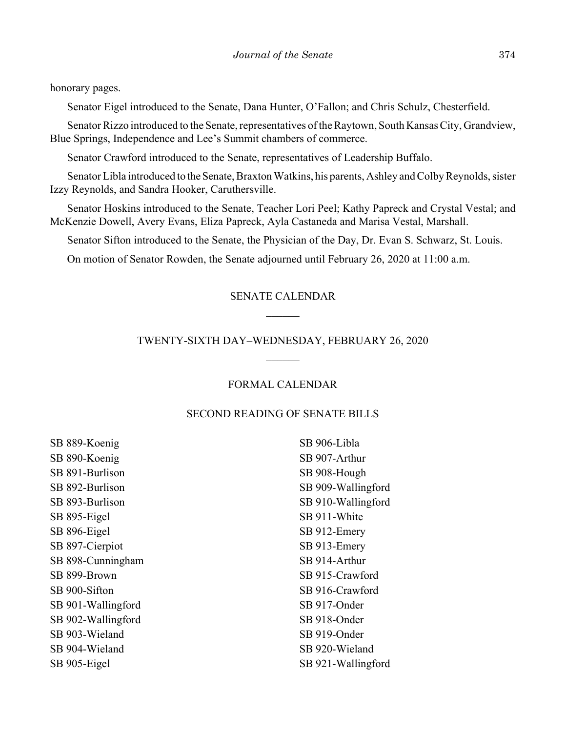honorary pages.

Senator Eigel introduced to the Senate, Dana Hunter, O'Fallon; and Chris Schulz, Chesterfield.

Senator Rizzo introduced to the Senate, representatives of the Raytown, South Kansas City, Grandview, Blue Springs, Independence and Lee's Summit chambers of commerce.

Senator Crawford introduced to the Senate, representatives of Leadership Buffalo.

Senator Libla introduced to the Senate, Braxton Watkins, his parents, Ashley and Colby Reynolds, sister Izzy Reynolds, and Sandra Hooker, Caruthersville.

Senator Hoskins introduced to the Senate, Teacher Lori Peel; Kathy Papreck and Crystal Vestal; and McKenzie Dowell, Avery Evans, Eliza Papreck, Ayla Castaneda and Marisa Vestal, Marshall.

Senator Sifton introduced to the Senate, the Physician of the Day, Dr. Evan S. Schwarz, St. Louis.

On motion of Senator Rowden, the Senate adjourned until February 26, 2020 at 11:00 a.m.

## SENATE CALENDAR

## TWENTY-SIXTH DAY–WEDNESDAY, FEBRUARY 26, 2020

## FORMAL CALENDAR

## SECOND READING OF SENATE BILLS

SB 889-Koenig SB 890-Koenig SB 891-Burlison SB 892-Burlison SB 893-Burlison SB 895-Eigel SB 896-Eigel SB 897-Cierpiot SB 898-Cunningham SB 899-Brown SB 900-Sifton SB 901-Wallingford SB 902-Wallingford SB 903-Wieland SB 904-Wieland SB 905-Eigel

SB 906-Libla SB 907-Arthur SB 908-Hough SB 909-Wallingford SB 910-Wallingford SB 911-White SB 912-Emery SB 913-Emery SB 914-Arthur SB 915-Crawford SB 916-Crawford SB 917-Onder SB 918-Onder SB 919-Onder SB 920-Wieland SB 921-Wallingford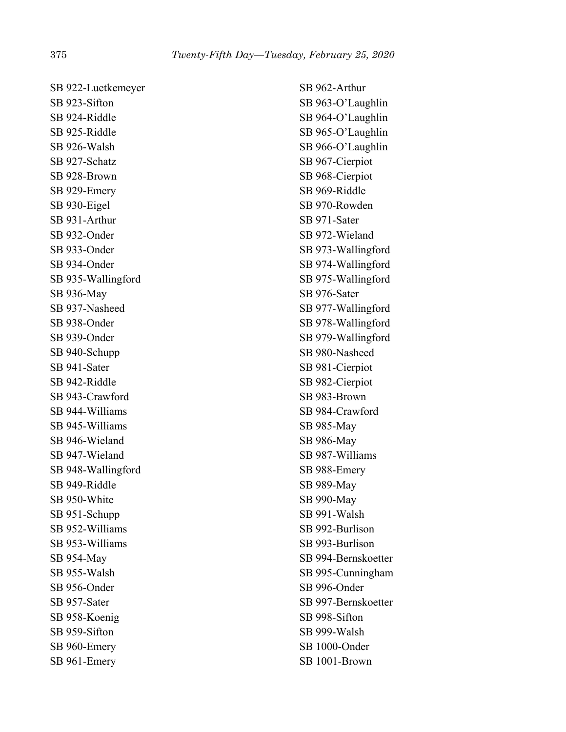SB 922-Luetkemeyer SB 923-Sifton SB 924-Riddle SB 925-Riddle SB 926-Walsh SB 927-Schatz SB 928-Brown SB 929-Emery SB 930-Eigel SB 931-Arthur SB 932-Onder SB 933-Onder SB 934-Onder SB 935-Wallingford SB 936-May SB 937-Nasheed SB 938-Onder SB 939-Onder SB 940-Schupp SB 941-Sater SB 942-Riddle SB 943-Crawford SB 944-Williams SB 945-Williams SB 946-Wieland SB 947-Wieland SB 948-Wallingford SB 949-Riddle SB 950-White SB 951-Schupp SB 952-Williams SB 953-Williams SB 954-May SB 955-Walsh SB 956-Onder SB 957-Sater SB 958-Koenig SB 959-Sifton SB 960-Emery SB 961-Emery

SB 962-Arthur SB 963-O'Laughlin SB 964-O'Laughlin SB 965-O'Laughlin SB 966-O'Laughlin SB 967-Cierpiot SB 968-Cierpiot SB 969-Riddle SB 970-Rowden SB 971-Sater SB 972-Wieland SB 973-Wallingford SB 974-Wallingford SB 975-Wallingford SB 976-Sater SB 977-Wallingford SB 978-Wallingford SB 979-Wallingford SB 980-Nasheed SB 981-Cierpiot SB 982-Cierpiot SB 983-Brown SB 984-Crawford SB 985-May SB 986-May SB 987-Williams SB 988-Emery SB 989-May SB 990-May SB 991-Walsh SB 992-Burlison SB 993-Burlison SB 994-Bernskoetter SB 995-Cunningham SB 996-Onder SB 997-Bernskoetter SB 998-Sifton SB 999-Walsh SB 1000-Onder SB 1001-Brown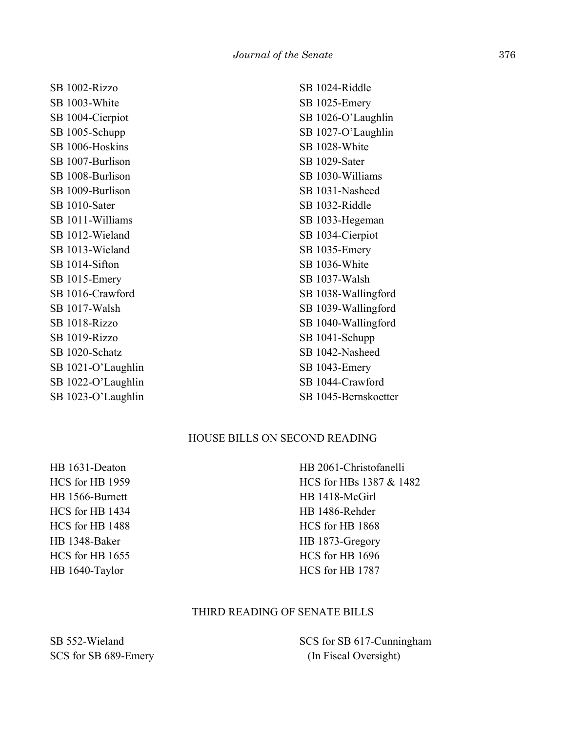SB 1002-Rizzo SB 1003-White SB 1004-Cierpiot SB 1005-Schupp SB 1006-Hoskins SB 1007-Burlison SB 1008-Burlison SB 1009-Burlison SB 1010-Sater SB 1011-Williams SB 1012-Wieland SB 1013-Wieland SB 1014-Sifton SB 1015-Emery SB 1016-Crawford SB 1017-Walsh SB 1018-Rizzo SB 1019-Rizzo SB 1020-Schatz SB 1021-O'Laughlin SB 1022-O'Laughlin SB 1023-O'Laughlin SB 1024-Riddle SB 1025-Emery SB 1026-O'Laughlin SB 1027-O'Laughlin SB 1028-White SB 1029-Sater SB 1030-Williams SB 1031-Nasheed SB 1032-Riddle SB 1033-Hegeman SB 1034-Cierpiot SB 1035-Emery SB 1036-White SB 1037-Walsh SB 1038-Wallingford SB 1039-Wallingford SB 1040-Wallingford SB 1041-Schupp SB 1042-Nasheed SB 1043-Emery SB 1044-Crawford SB 1045-Bernskoetter

# HOUSE BILLS ON SECOND READING

HB 1631-Deaton HCS for HB 1959 HB 1566-Burnett HCS for HB 1434 HCS for HB 1488 HB 1348-Baker HCS for HB 1655 HB 1640-Taylor

HB 2061-Christofanelli HCS for HBs 1387 & 1482 HB 1418-McGirl HB 1486-Rehder HCS for HB 1868 HB 1873-Gregory HCS for HB 1696 HCS for HB 1787

# THIRD READING OF SENATE BILLS

SB 552-Wieland SCS for SB 689-Emery SCS for SB 617-Cunningham (In Fiscal Oversight)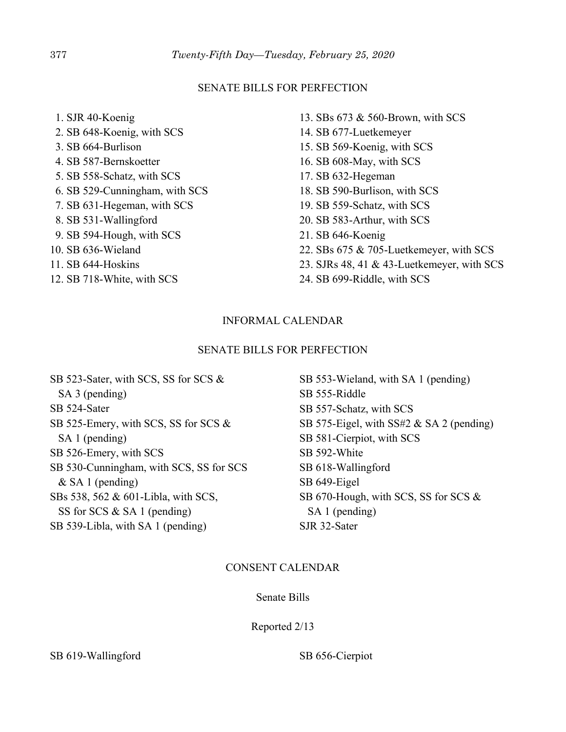## SENATE BILLS FOR PERFECTION

 1. SJR 40-Koenig 2. SB 648-Koenig, with SCS 3. SB 664-Burlison 4. SB 587-Bernskoetter 5. SB 558-Schatz, with SCS 6. SB 529-Cunningham, with SCS 7. SB 631-Hegeman, with SCS 8. SB 531-Wallingford 9. SB 594-Hough, with SCS 10. SB 636-Wieland 11. SB 644-Hoskins 12. SB 718-White, with SCS

- 13. SBs 673 & 560-Brown, with SCS
- 14. SB 677-Luetkemeyer
- 15. SB 569-Koenig, with SCS
- 16. SB 608-May, with SCS
- 17. SB 632-Hegeman
- 18. SB 590-Burlison, with SCS
- 19. SB 559-Schatz, with SCS
- 20. SB 583-Arthur, with SCS
- 21. SB 646-Koenig
- 22. SBs 675 & 705-Luetkemeyer, with SCS
- 23. SJRs 48, 41 & 43-Luetkemeyer, with SCS
- 24. SB 699-Riddle, with SCS

# INFORMAL CALENDAR

# SENATE BILLS FOR PERFECTION

SB 523-Sater, with SCS, SS for SCS & SA 3 (pending) SB 524-Sater SB 525-Emery, with SCS, SS for SCS & SA 1 (pending) SB 526-Emery, with SCS SB 530-Cunningham, with SCS, SS for SCS & SA 1 (pending) SBs 538, 562 & 601-Libla, with SCS, SS for SCS & SA 1 (pending) SB 539-Libla, with SA 1 (pending)

SB 553-Wieland, with SA 1 (pending) SB 555-Riddle SB 557-Schatz, with SCS SB 575-Eigel, with SS#2 & SA 2 (pending) SB 581-Cierpiot, with SCS SB 592-White SB 618-Wallingford SB 649-Eigel SB 670-Hough, with SCS, SS for SCS & SA 1 (pending) SJR 32-Sater

# CONSENT CALENDAR

Senate Bills

Reported 2/13